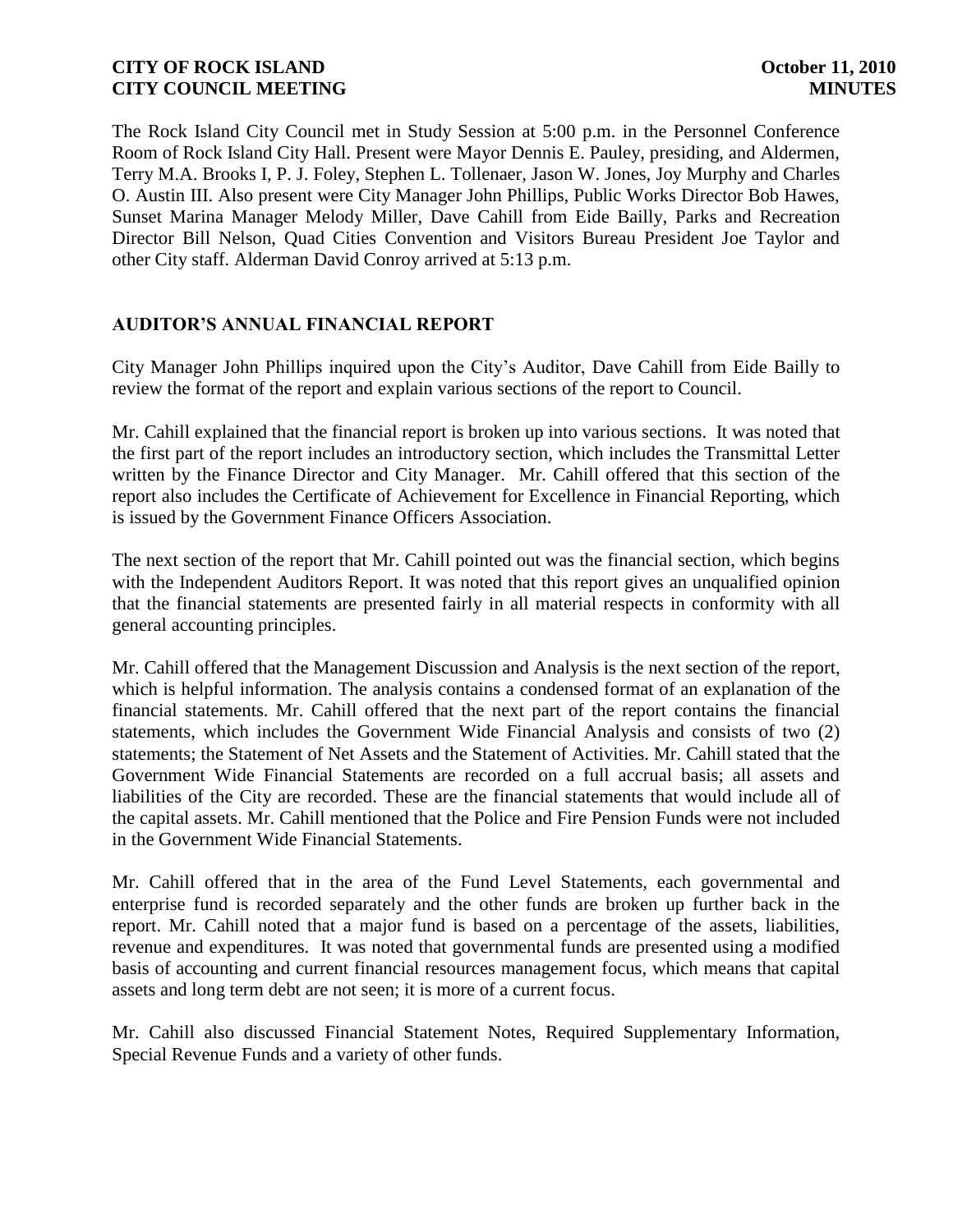The Rock Island City Council met in Study Session at 5:00 p.m. in the Personnel Conference Room of Rock Island City Hall. Present were Mayor Dennis E. Pauley, presiding, and Aldermen, Terry M.A. Brooks I, P. J. Foley, Stephen L. Tollenaer, Jason W. Jones, Joy Murphy and Charles O. Austin III. Also present were City Manager John Phillips, Public Works Director Bob Hawes, Sunset Marina Manager Melody Miller, Dave Cahill from Eide Bailly, Parks and Recreation Director Bill Nelson, Quad Cities Convention and Visitors Bureau President Joe Taylor and other City staff. Alderman David Conroy arrived at 5:13 p.m.

## **AUDITOR'S ANNUAL FINANCIAL REPORT**

City Manager John Phillips inquired upon the City's Auditor, Dave Cahill from Eide Bailly to review the format of the report and explain various sections of the report to Council.

Mr. Cahill explained that the financial report is broken up into various sections. It was noted that the first part of the report includes an introductory section, which includes the Transmittal Letter written by the Finance Director and City Manager. Mr. Cahill offered that this section of the report also includes the Certificate of Achievement for Excellence in Financial Reporting, which is issued by the Government Finance Officers Association.

The next section of the report that Mr. Cahill pointed out was the financial section, which begins with the Independent Auditors Report. It was noted that this report gives an unqualified opinion that the financial statements are presented fairly in all material respects in conformity with all general accounting principles.

Mr. Cahill offered that the Management Discussion and Analysis is the next section of the report, which is helpful information. The analysis contains a condensed format of an explanation of the financial statements. Mr. Cahill offered that the next part of the report contains the financial statements, which includes the Government Wide Financial Analysis and consists of two (2) statements; the Statement of Net Assets and the Statement of Activities. Mr. Cahill stated that the Government Wide Financial Statements are recorded on a full accrual basis; all assets and liabilities of the City are recorded. These are the financial statements that would include all of the capital assets. Mr. Cahill mentioned that the Police and Fire Pension Funds were not included in the Government Wide Financial Statements.

Mr. Cahill offered that in the area of the Fund Level Statements, each governmental and enterprise fund is recorded separately and the other funds are broken up further back in the report. Mr. Cahill noted that a major fund is based on a percentage of the assets, liabilities, revenue and expenditures. It was noted that governmental funds are presented using a modified basis of accounting and current financial resources management focus, which means that capital assets and long term debt are not seen; it is more of a current focus.

Mr. Cahill also discussed Financial Statement Notes, Required Supplementary Information, Special Revenue Funds and a variety of other funds.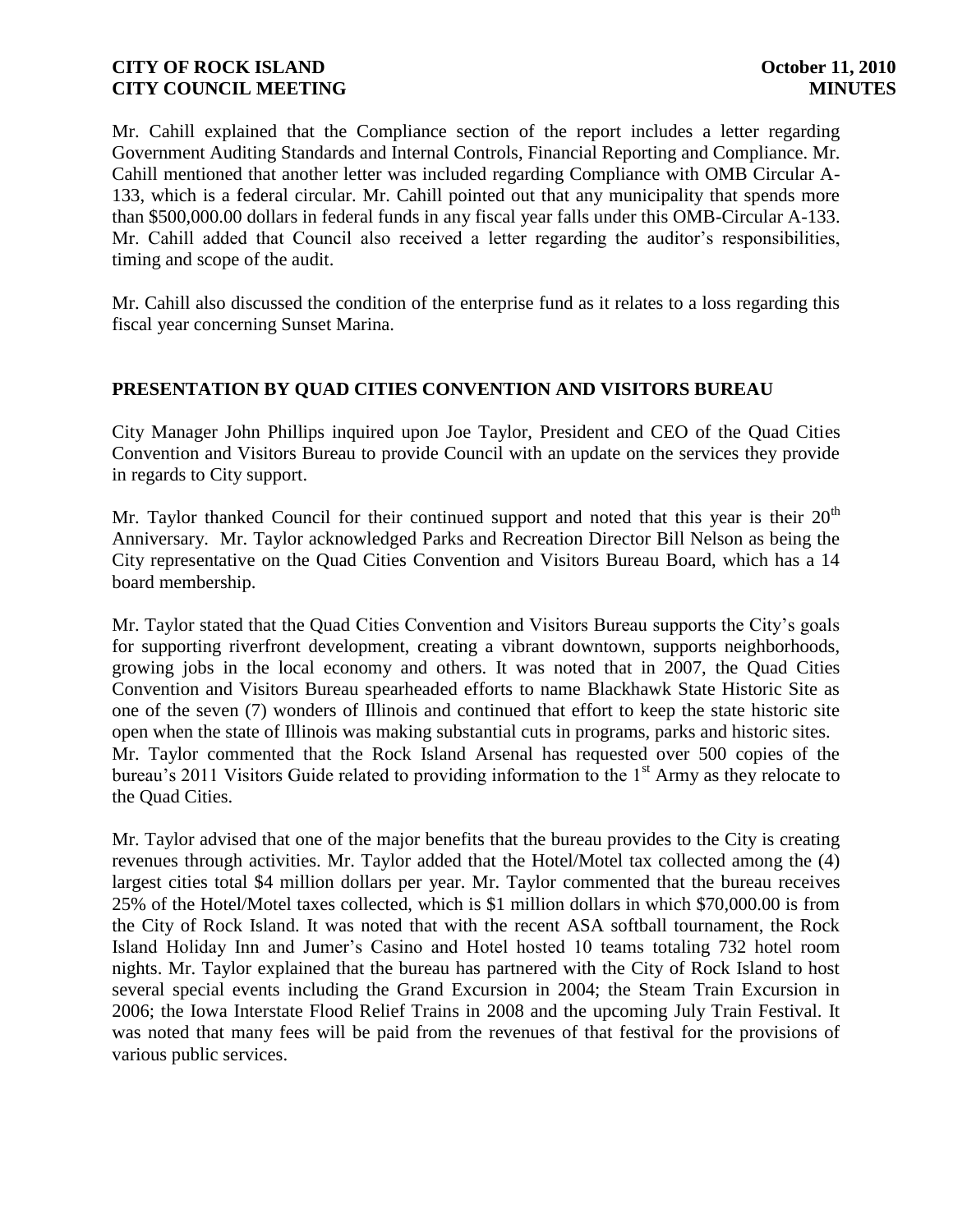Mr. Cahill explained that the Compliance section of the report includes a letter regarding Government Auditing Standards and Internal Controls, Financial Reporting and Compliance. Mr. Cahill mentioned that another letter was included regarding Compliance with OMB Circular A-133, which is a federal circular. Mr. Cahill pointed out that any municipality that spends more than \$500,000.00 dollars in federal funds in any fiscal year falls under this OMB-Circular A-133. Mr. Cahill added that Council also received a letter regarding the auditor's responsibilities, timing and scope of the audit.

Mr. Cahill also discussed the condition of the enterprise fund as it relates to a loss regarding this fiscal year concerning Sunset Marina.

# **PRESENTATION BY QUAD CITIES CONVENTION AND VISITORS BUREAU**

City Manager John Phillips inquired upon Joe Taylor, President and CEO of the Quad Cities Convention and Visitors Bureau to provide Council with an update on the services they provide in regards to City support.

Mr. Taylor thanked Council for their continued support and noted that this year is their  $20<sup>th</sup>$ Anniversary. Mr. Taylor acknowledged Parks and Recreation Director Bill Nelson as being the City representative on the Quad Cities Convention and Visitors Bureau Board, which has a 14 board membership.

Mr. Taylor stated that the Quad Cities Convention and Visitors Bureau supports the City's goals for supporting riverfront development, creating a vibrant downtown, supports neighborhoods, growing jobs in the local economy and others. It was noted that in 2007, the Quad Cities Convention and Visitors Bureau spearheaded efforts to name Blackhawk State Historic Site as one of the seven (7) wonders of Illinois and continued that effort to keep the state historic site open when the state of Illinois was making substantial cuts in programs, parks and historic sites. Mr. Taylor commented that the Rock Island Arsenal has requested over 500 copies of the bureau's 2011 Visitors Guide related to providing information to the 1<sup>st</sup> Army as they relocate to the Quad Cities.

Mr. Taylor advised that one of the major benefits that the bureau provides to the City is creating revenues through activities. Mr. Taylor added that the Hotel/Motel tax collected among the (4) largest cities total \$4 million dollars per year. Mr. Taylor commented that the bureau receives 25% of the Hotel/Motel taxes collected, which is \$1 million dollars in which \$70,000.00 is from the City of Rock Island. It was noted that with the recent ASA softball tournament, the Rock Island Holiday Inn and Jumer's Casino and Hotel hosted 10 teams totaling 732 hotel room nights. Mr. Taylor explained that the bureau has partnered with the City of Rock Island to host several special events including the Grand Excursion in 2004; the Steam Train Excursion in 2006; the Iowa Interstate Flood Relief Trains in 2008 and the upcoming July Train Festival. It was noted that many fees will be paid from the revenues of that festival for the provisions of various public services.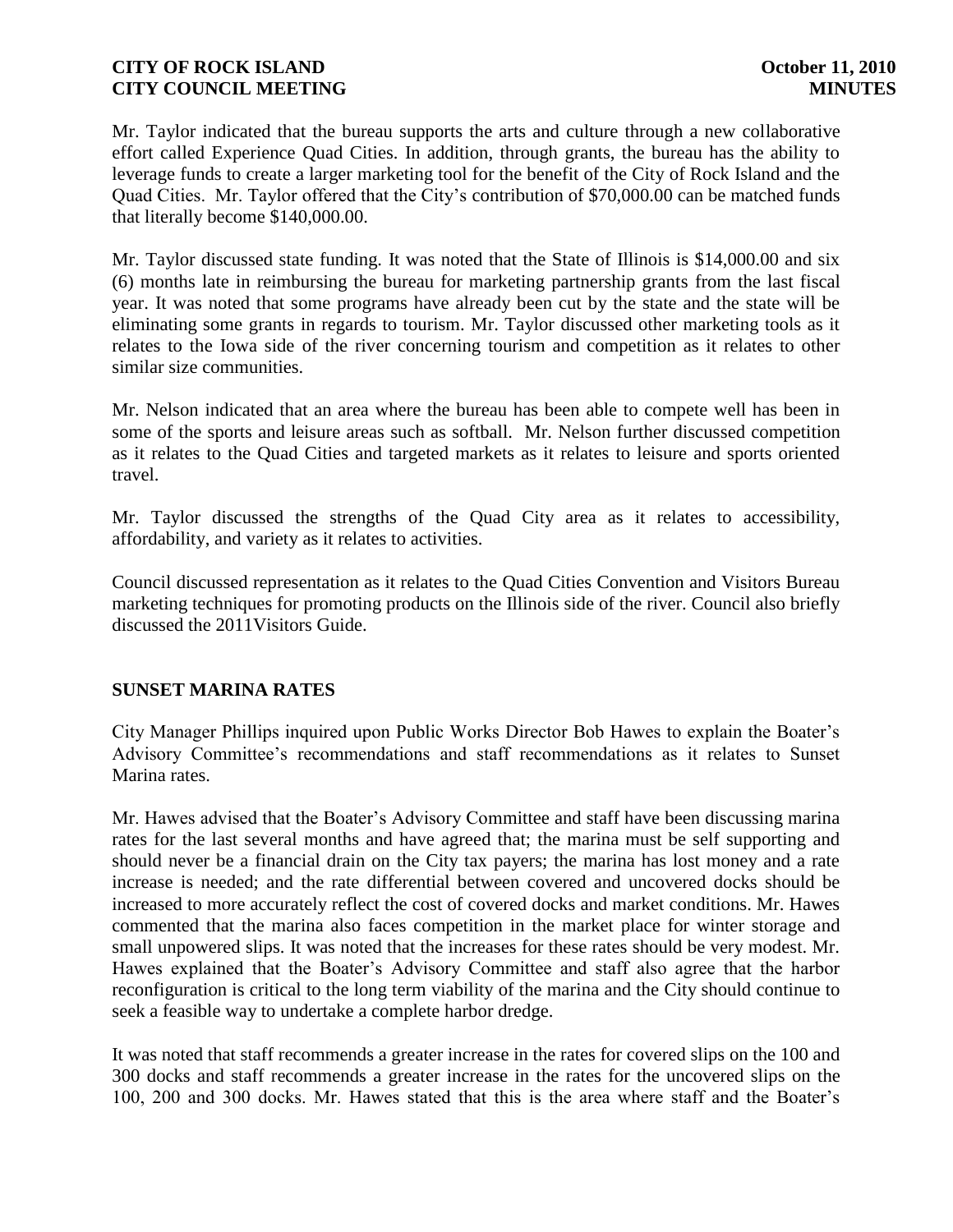Mr. Taylor indicated that the bureau supports the arts and culture through a new collaborative effort called Experience Quad Cities. In addition, through grants, the bureau has the ability to leverage funds to create a larger marketing tool for the benefit of the City of Rock Island and the Quad Cities. Mr. Taylor offered that the City's contribution of \$70,000.00 can be matched funds that literally become \$140,000.00.

Mr. Taylor discussed state funding. It was noted that the State of Illinois is \$14,000.00 and six (6) months late in reimbursing the bureau for marketing partnership grants from the last fiscal year. It was noted that some programs have already been cut by the state and the state will be eliminating some grants in regards to tourism. Mr. Taylor discussed other marketing tools as it relates to the Iowa side of the river concerning tourism and competition as it relates to other similar size communities.

Mr. Nelson indicated that an area where the bureau has been able to compete well has been in some of the sports and leisure areas such as softball. Mr. Nelson further discussed competition as it relates to the Quad Cities and targeted markets as it relates to leisure and sports oriented travel.

Mr. Taylor discussed the strengths of the Quad City area as it relates to accessibility, affordability, and variety as it relates to activities.

Council discussed representation as it relates to the Quad Cities Convention and Visitors Bureau marketing techniques for promoting products on the Illinois side of the river. Council also briefly discussed the 2011Visitors Guide.

# **SUNSET MARINA RATES**

City Manager Phillips inquired upon Public Works Director Bob Hawes to explain the Boater's Advisory Committee's recommendations and staff recommendations as it relates to Sunset Marina rates.

Mr. Hawes advised that the Boater's Advisory Committee and staff have been discussing marina rates for the last several months and have agreed that; the marina must be self supporting and should never be a financial drain on the City tax payers; the marina has lost money and a rate increase is needed; and the rate differential between covered and uncovered docks should be increased to more accurately reflect the cost of covered docks and market conditions. Mr. Hawes commented that the marina also faces competition in the market place for winter storage and small unpowered slips. It was noted that the increases for these rates should be very modest. Mr. Hawes explained that the Boater's Advisory Committee and staff also agree that the harbor reconfiguration is critical to the long term viability of the marina and the City should continue to seek a feasible way to undertake a complete harbor dredge.

It was noted that staff recommends a greater increase in the rates for covered slips on the 100 and 300 docks and staff recommends a greater increase in the rates for the uncovered slips on the 100, 200 and 300 docks. Mr. Hawes stated that this is the area where staff and the Boater's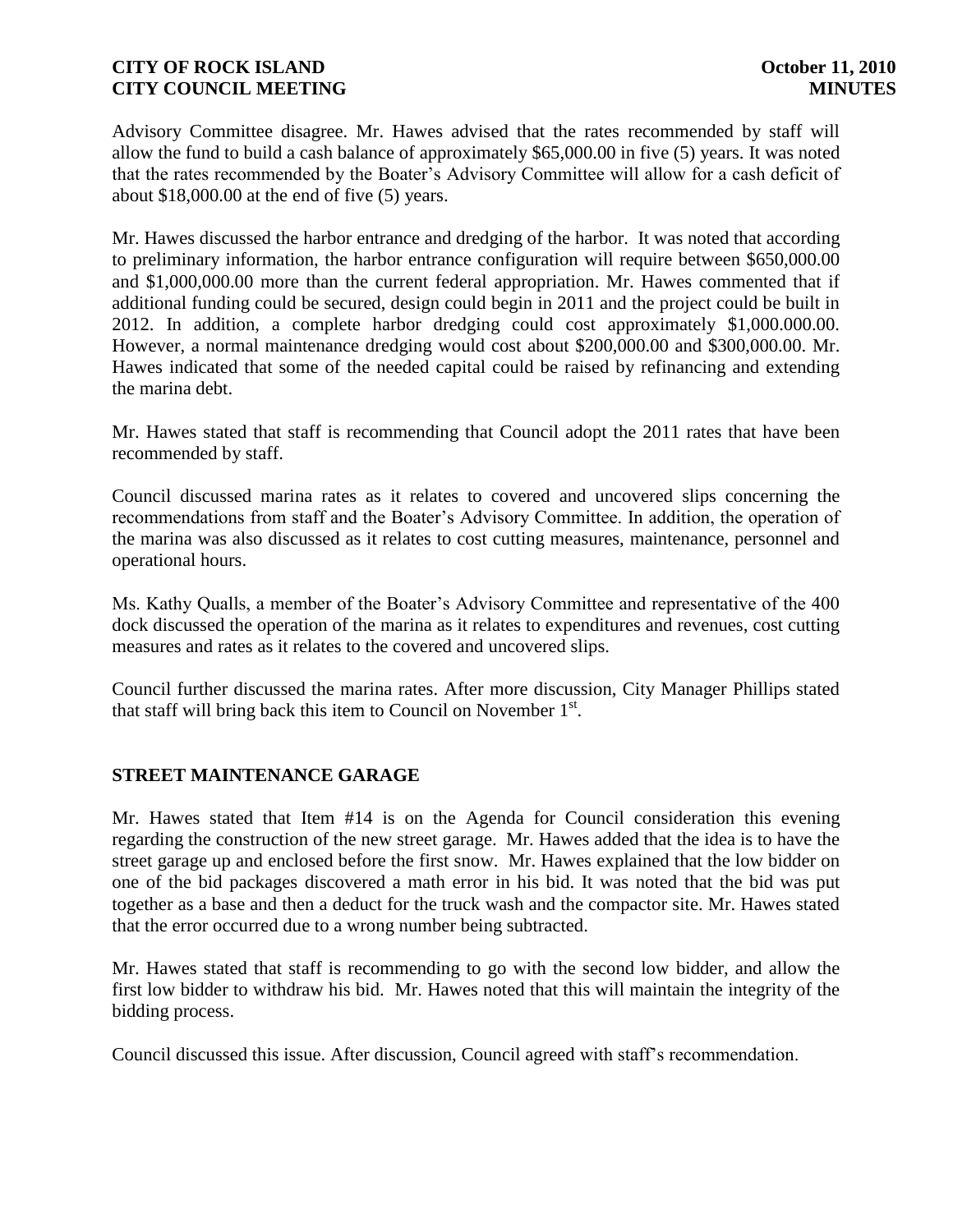Advisory Committee disagree. Mr. Hawes advised that the rates recommended by staff will allow the fund to build a cash balance of approximately \$65,000.00 in five (5) years. It was noted that the rates recommended by the Boater's Advisory Committee will allow for a cash deficit of about \$18,000.00 at the end of five (5) years.

Mr. Hawes discussed the harbor entrance and dredging of the harbor. It was noted that according to preliminary information, the harbor entrance configuration will require between \$650,000.00 and \$1,000,000.00 more than the current federal appropriation. Mr. Hawes commented that if additional funding could be secured, design could begin in 2011 and the project could be built in 2012. In addition, a complete harbor dredging could cost approximately \$1,000.000.00. However, a normal maintenance dredging would cost about \$200,000.00 and \$300,000.00. Mr. Hawes indicated that some of the needed capital could be raised by refinancing and extending the marina debt.

Mr. Hawes stated that staff is recommending that Council adopt the 2011 rates that have been recommended by staff.

Council discussed marina rates as it relates to covered and uncovered slips concerning the recommendations from staff and the Boater's Advisory Committee. In addition, the operation of the marina was also discussed as it relates to cost cutting measures, maintenance, personnel and operational hours.

Ms. Kathy Qualls, a member of the Boater's Advisory Committee and representative of the 400 dock discussed the operation of the marina as it relates to expenditures and revenues, cost cutting measures and rates as it relates to the covered and uncovered slips.

Council further discussed the marina rates. After more discussion, City Manager Phillips stated that staff will bring back this item to Council on November  $1<sup>st</sup>$ .

### **STREET MAINTENANCE GARAGE**

Mr. Hawes stated that Item #14 is on the Agenda for Council consideration this evening regarding the construction of the new street garage. Mr. Hawes added that the idea is to have the street garage up and enclosed before the first snow. Mr. Hawes explained that the low bidder on one of the bid packages discovered a math error in his bid. It was noted that the bid was put together as a base and then a deduct for the truck wash and the compactor site. Mr. Hawes stated that the error occurred due to a wrong number being subtracted.

Mr. Hawes stated that staff is recommending to go with the second low bidder, and allow the first low bidder to withdraw his bid. Mr. Hawes noted that this will maintain the integrity of the bidding process.

Council discussed this issue. After discussion, Council agreed with staff's recommendation.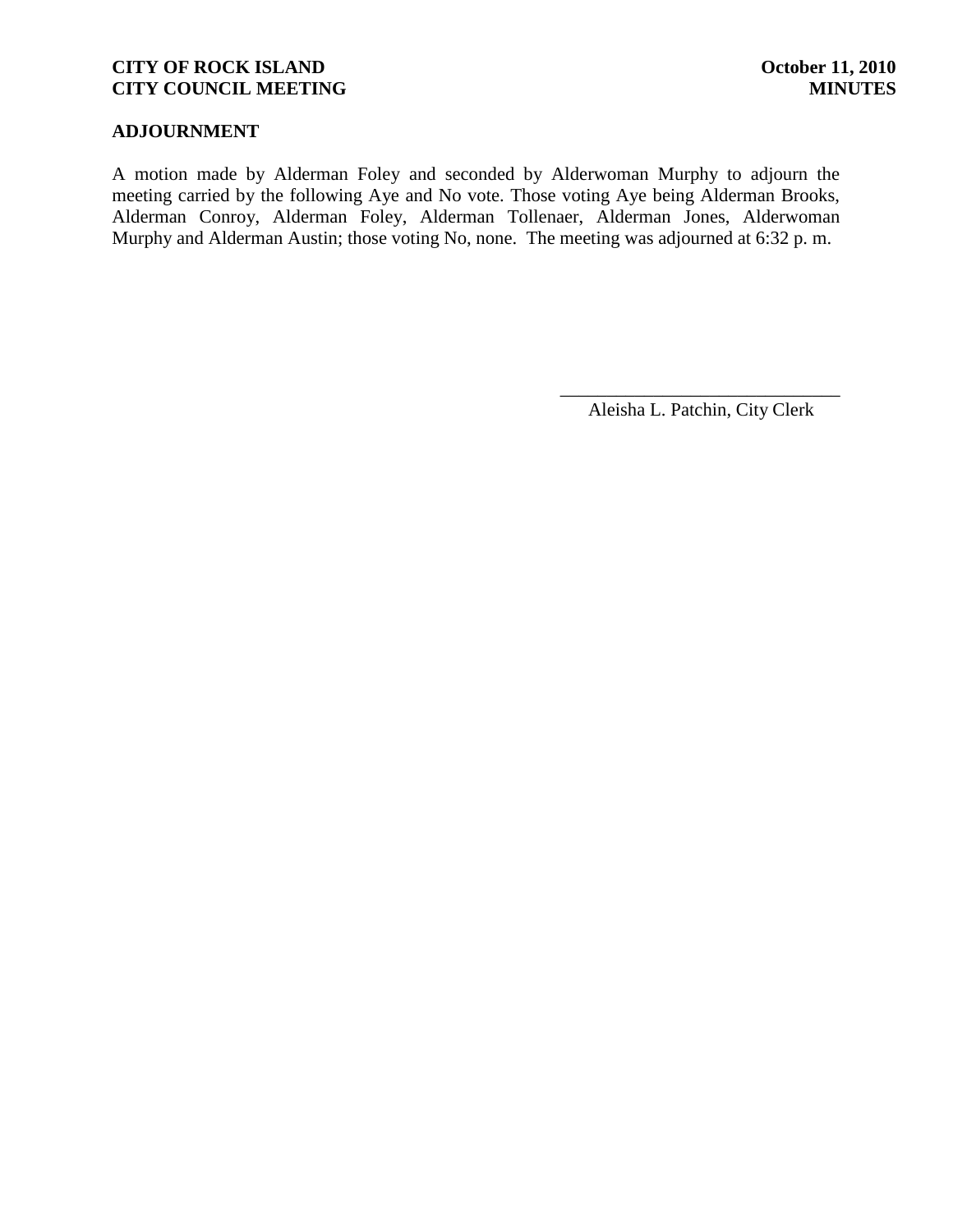## **ADJOURNMENT**

A motion made by Alderman Foley and seconded by Alderwoman Murphy to adjourn the meeting carried by the following Aye and No vote. Those voting Aye being Alderman Brooks, Alderman Conroy, Alderman Foley, Alderman Tollenaer, Alderman Jones, Alderwoman Murphy and Alderman Austin; those voting No, none. The meeting was adjourned at 6:32 p. m.

> \_\_\_\_\_\_\_\_\_\_\_\_\_\_\_\_\_\_\_\_\_\_\_\_\_\_\_\_\_\_ Aleisha L. Patchin, City Clerk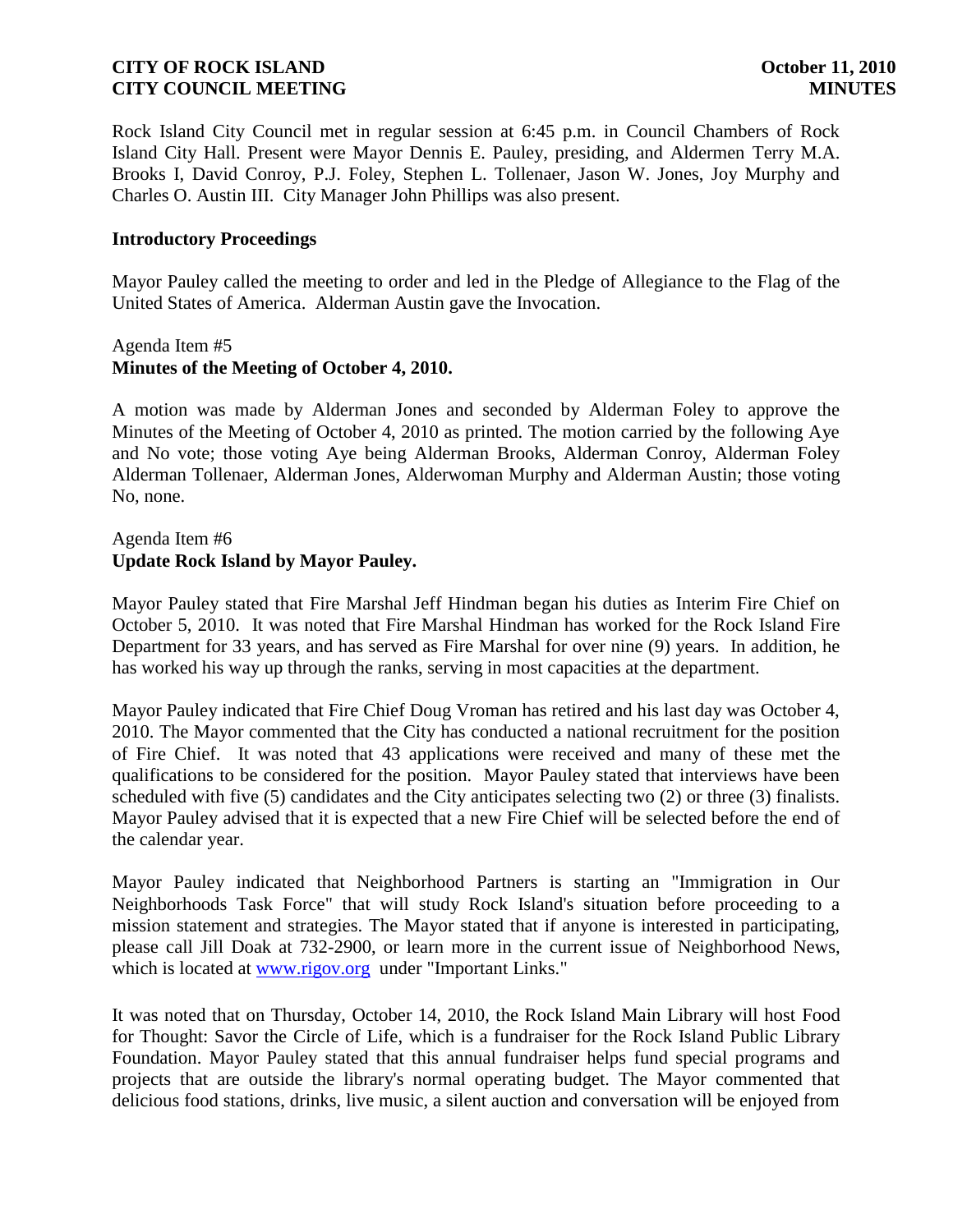Rock Island City Council met in regular session at 6:45 p.m. in Council Chambers of Rock Island City Hall. Present were Mayor Dennis E. Pauley, presiding, and Aldermen Terry M.A. Brooks I, David Conroy, P.J. Foley, Stephen L. Tollenaer, Jason W. Jones, Joy Murphy and Charles O. Austin III. City Manager John Phillips was also present.

#### **Introductory Proceedings**

Mayor Pauley called the meeting to order and led in the Pledge of Allegiance to the Flag of the United States of America. Alderman Austin gave the Invocation.

#### Agenda Item #5 **Minutes of the Meeting of October 4, 2010.**

A motion was made by Alderman Jones and seconded by Alderman Foley to approve the Minutes of the Meeting of October 4, 2010 as printed. The motion carried by the following Aye and No vote; those voting Aye being Alderman Brooks, Alderman Conroy, Alderman Foley Alderman Tollenaer, Alderman Jones, Alderwoman Murphy and Alderman Austin; those voting No, none.

### Agenda Item #6 **Update Rock Island by Mayor Pauley.**

Mayor Pauley stated that Fire Marshal Jeff Hindman began his duties as Interim Fire Chief on October 5, 2010. It was noted that Fire Marshal Hindman has worked for the Rock Island Fire Department for 33 years, and has served as Fire Marshal for over nine (9) years. In addition, he has worked his way up through the ranks, serving in most capacities at the department.

Mayor Pauley indicated that Fire Chief Doug Vroman has retired and his last day was October 4, 2010. The Mayor commented that the City has conducted a national recruitment for the position of Fire Chief. It was noted that 43 applications were received and many of these met the qualifications to be considered for the position. Mayor Pauley stated that interviews have been scheduled with five (5) candidates and the City anticipates selecting two (2) or three (3) finalists. Mayor Pauley advised that it is expected that a new Fire Chief will be selected before the end of the calendar year.

Mayor Pauley indicated that Neighborhood Partners is starting an "Immigration in Our Neighborhoods Task Force" that will study Rock Island's situation before proceeding to a mission statement and strategies. The Mayor stated that if anyone is interested in participating, please call Jill Doak at 732-2900, or learn more in the current issue of Neighborhood News, which is located at [www.rigov.org](http://www.rigov.org/) under "Important Links."

It was noted that on Thursday, October 14, 2010, the Rock Island Main Library will host Food for Thought: Savor the Circle of Life, which is a fundraiser for the Rock Island Public Library Foundation. Mayor Pauley stated that this annual fundraiser helps fund special programs and projects that are outside the library's normal operating budget. The Mayor commented that delicious food stations, drinks, live music, a silent auction and conversation will be enjoyed from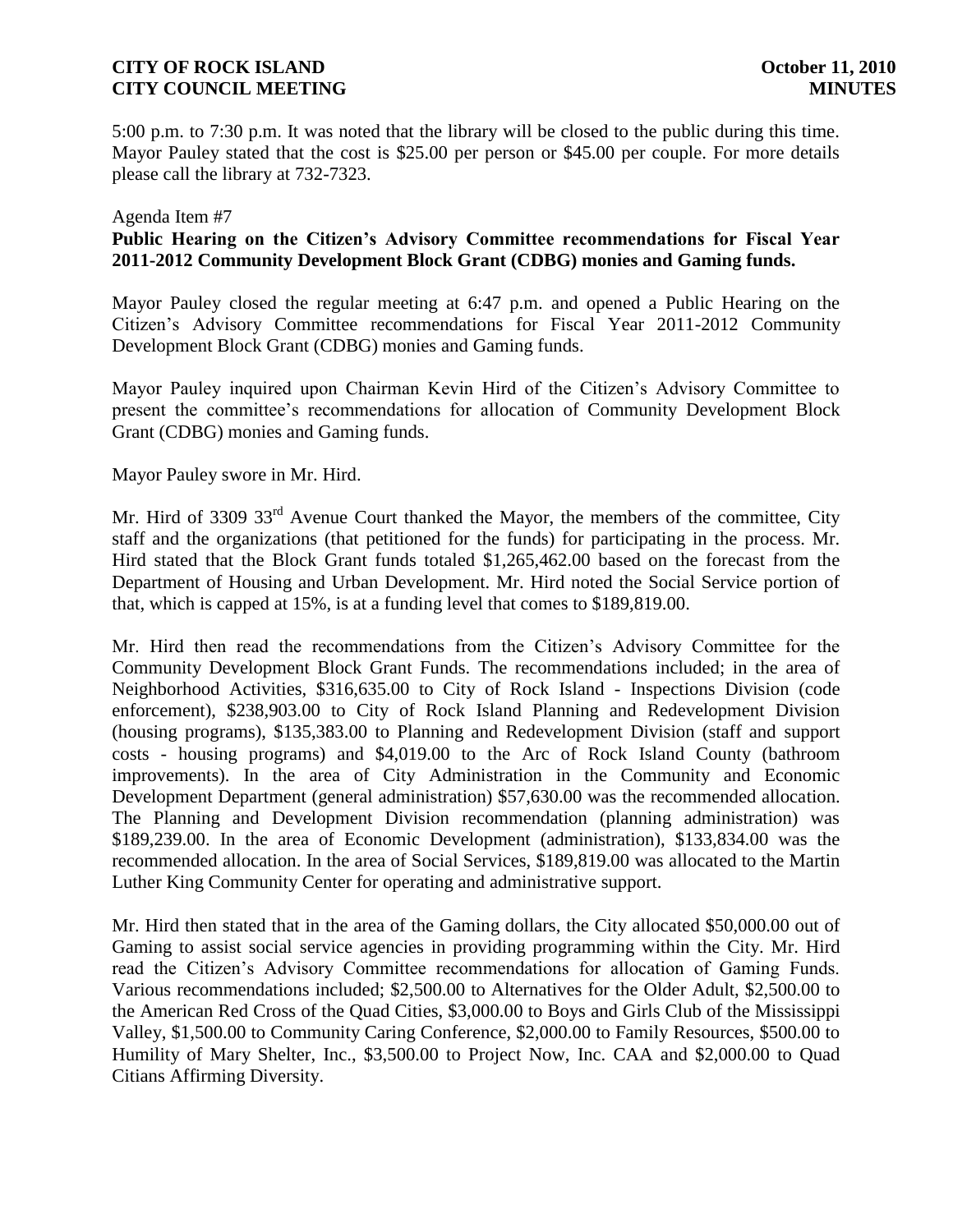5:00 p.m. to 7:30 p.m. It was noted that the library will be closed to the public during this time. Mayor Pauley stated that the cost is \$25.00 per person or \$45.00 per couple. For more details please call the library at 732-7323.

#### Agenda Item #7

### **Public Hearing on the Citizen's Advisory Committee recommendations for Fiscal Year 2011-2012 Community Development Block Grant (CDBG) monies and Gaming funds.**

Mayor Pauley closed the regular meeting at 6:47 p.m. and opened a Public Hearing on the Citizen's Advisory Committee recommendations for Fiscal Year 2011-2012 Community Development Block Grant (CDBG) monies and Gaming funds.

Mayor Pauley inquired upon Chairman Kevin Hird of the Citizen's Advisory Committee to present the committee's recommendations for allocation of Community Development Block Grant (CDBG) monies and Gaming funds.

Mayor Pauley swore in Mr. Hird.

Mr. Hird of 3309 33<sup>rd</sup> Avenue Court thanked the Mayor, the members of the committee, City staff and the organizations (that petitioned for the funds) for participating in the process. Mr. Hird stated that the Block Grant funds totaled \$1,265,462.00 based on the forecast from the Department of Housing and Urban Development. Mr. Hird noted the Social Service portion of that, which is capped at 15%, is at a funding level that comes to \$189,819.00.

Mr. Hird then read the recommendations from the Citizen's Advisory Committee for the Community Development Block Grant Funds. The recommendations included; in the area of Neighborhood Activities, \$316,635.00 to City of Rock Island - Inspections Division (code enforcement), \$238,903.00 to City of Rock Island Planning and Redevelopment Division (housing programs), \$135,383.00 to Planning and Redevelopment Division (staff and support costs - housing programs) and \$4,019.00 to the Arc of Rock Island County (bathroom improvements). In the area of City Administration in the Community and Economic Development Department (general administration) \$57,630.00 was the recommended allocation. The Planning and Development Division recommendation (planning administration) was \$189,239.00. In the area of Economic Development (administration), \$133,834.00 was the recommended allocation. In the area of Social Services, \$189,819.00 was allocated to the Martin Luther King Community Center for operating and administrative support.

Mr. Hird then stated that in the area of the Gaming dollars, the City allocated \$50,000.00 out of Gaming to assist social service agencies in providing programming within the City. Mr. Hird read the Citizen's Advisory Committee recommendations for allocation of Gaming Funds. Various recommendations included; \$2,500.00 to Alternatives for the Older Adult, \$2,500.00 to the American Red Cross of the Quad Cities, \$3,000.00 to Boys and Girls Club of the Mississippi Valley, \$1,500.00 to Community Caring Conference, \$2,000.00 to Family Resources, \$500.00 to Humility of Mary Shelter, Inc., \$3,500.00 to Project Now, Inc. CAA and \$2,000.00 to Quad Citians Affirming Diversity.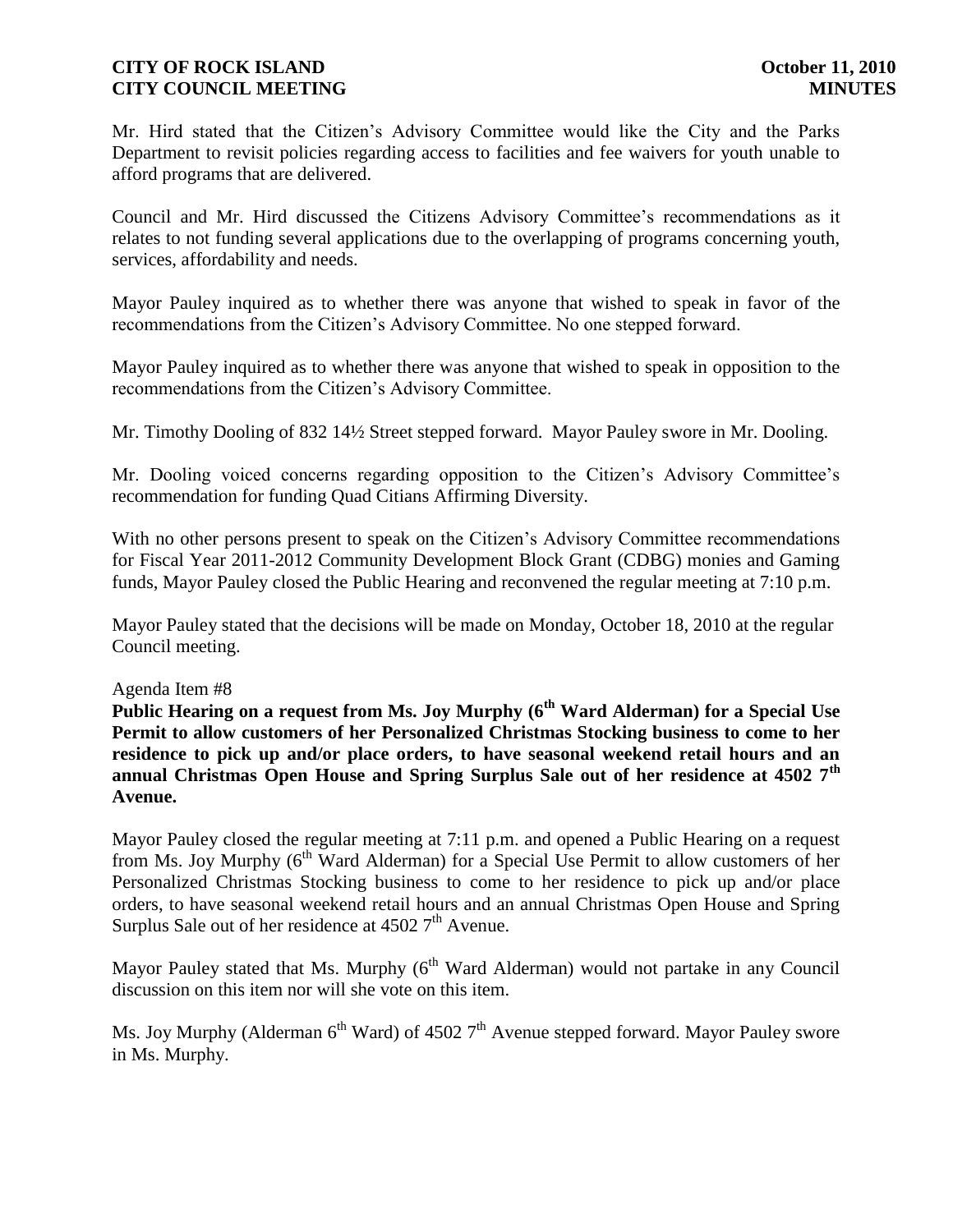Mr. Hird stated that the Citizen's Advisory Committee would like the City and the Parks Department to revisit policies regarding access to facilities and fee waivers for youth unable to afford programs that are delivered.

Council and Mr. Hird discussed the Citizens Advisory Committee's recommendations as it relates to not funding several applications due to the overlapping of programs concerning youth, services, affordability and needs.

Mayor Pauley inquired as to whether there was anyone that wished to speak in favor of the recommendations from the Citizen's Advisory Committee. No one stepped forward.

Mayor Pauley inquired as to whether there was anyone that wished to speak in opposition to the recommendations from the Citizen's Advisory Committee.

Mr. Timothy Dooling of 832 14½ Street stepped forward. Mayor Pauley swore in Mr. Dooling.

Mr. Dooling voiced concerns regarding opposition to the Citizen's Advisory Committee's recommendation for funding Quad Citians Affirming Diversity.

With no other persons present to speak on the Citizen's Advisory Committee recommendations for Fiscal Year 2011-2012 Community Development Block Grant (CDBG) monies and Gaming funds, Mayor Pauley closed the Public Hearing and reconvened the regular meeting at 7:10 p.m.

Mayor Pauley stated that the decisions will be made on Monday, October 18, 2010 at the regular Council meeting.

### Agenda Item #8

**Public Hearing on a request from Ms. Joy Murphy (6th Ward Alderman) for a Special Use Permit to allow customers of her Personalized Christmas Stocking business to come to her residence to pick up and/or place orders, to have seasonal weekend retail hours and an annual Christmas Open House and Spring Surplus Sale out of her residence at 4502 7th Avenue.**

Mayor Pauley closed the regular meeting at 7:11 p.m. and opened a Public Hearing on a request from Ms. Joy Murphy  $(6^{th}$  Ward Alderman) for a Special Use Permit to allow customers of her Personalized Christmas Stocking business to come to her residence to pick up and/or place orders, to have seasonal weekend retail hours and an annual Christmas Open House and Spring Surplus Sale out of her residence at  $45027<sup>th</sup>$  Avenue.

Mayor Pauley stated that Ms. Murphy  $(6^{th}$  Ward Alderman) would not partake in any Council discussion on this item nor will she vote on this item.

Ms. Joy Murphy (Alderman  $6<sup>th</sup>$  Ward) of 4502 7<sup>th</sup> Avenue stepped forward. Mayor Pauley swore in Ms. Murphy.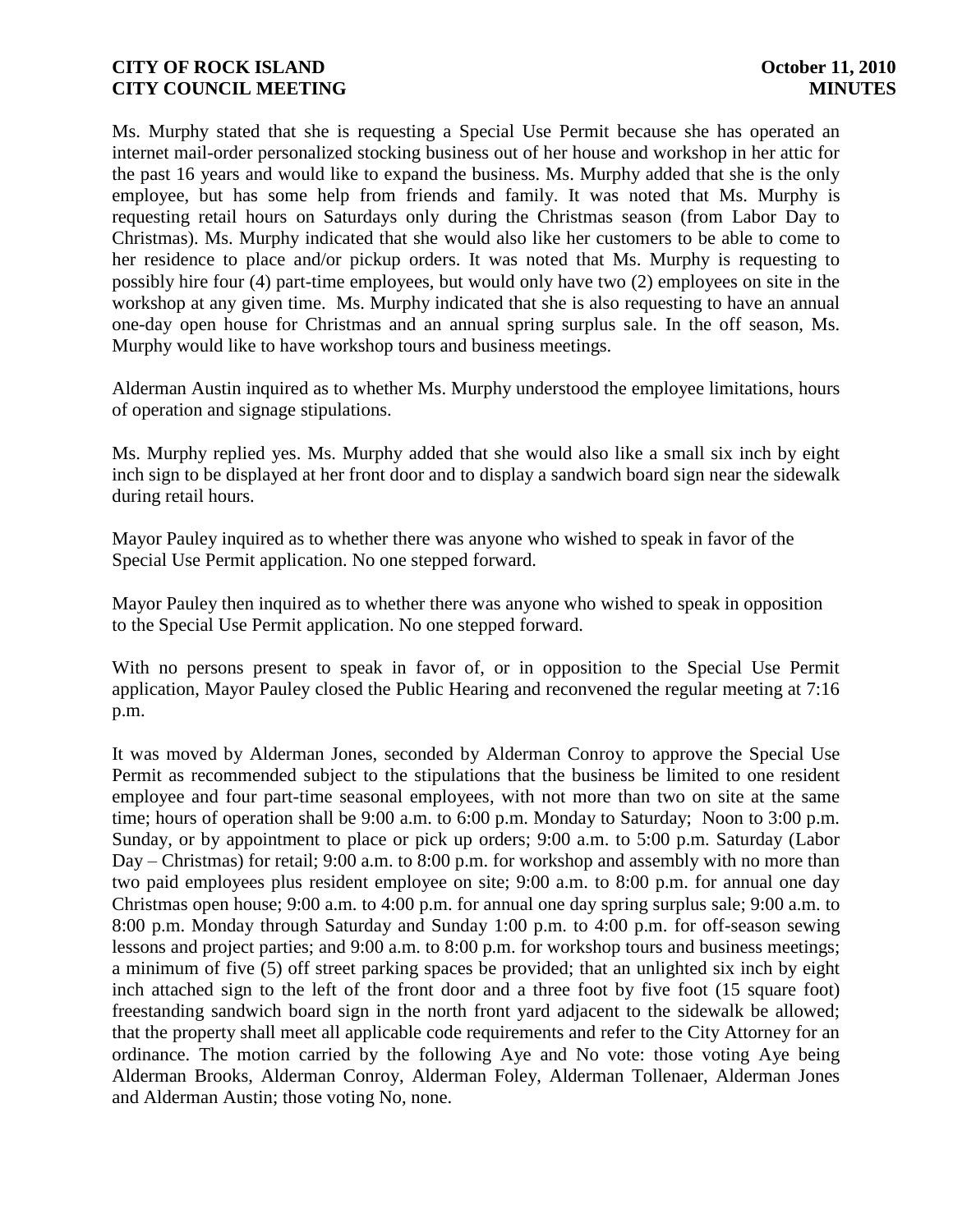Ms. Murphy stated that she is requesting a Special Use Permit because she has operated an internet mail-order personalized stocking business out of her house and workshop in her attic for the past 16 years and would like to expand the business. Ms. Murphy added that she is the only employee, but has some help from friends and family. It was noted that Ms. Murphy is requesting retail hours on Saturdays only during the Christmas season (from Labor Day to Christmas). Ms. Murphy indicated that she would also like her customers to be able to come to her residence to place and/or pickup orders. It was noted that Ms. Murphy is requesting to possibly hire four (4) part-time employees, but would only have two (2) employees on site in the workshop at any given time. Ms. Murphy indicated that she is also requesting to have an annual one-day open house for Christmas and an annual spring surplus sale. In the off season, Ms. Murphy would like to have workshop tours and business meetings.

Alderman Austin inquired as to whether Ms. Murphy understood the employee limitations, hours of operation and signage stipulations.

Ms. Murphy replied yes. Ms. Murphy added that she would also like a small six inch by eight inch sign to be displayed at her front door and to display a sandwich board sign near the sidewalk during retail hours.

Mayor Pauley inquired as to whether there was anyone who wished to speak in favor of the Special Use Permit application. No one stepped forward.

Mayor Pauley then inquired as to whether there was anyone who wished to speak in opposition to the Special Use Permit application. No one stepped forward.

With no persons present to speak in favor of, or in opposition to the Special Use Permit application, Mayor Pauley closed the Public Hearing and reconvened the regular meeting at 7:16 p.m.

It was moved by Alderman Jones, seconded by Alderman Conroy to approve the Special Use Permit as recommended subject to the stipulations that the business be limited to one resident employee and four part-time seasonal employees, with not more than two on site at the same time; hours of operation shall be 9:00 a.m. to 6:00 p.m. Monday to Saturday; Noon to 3:00 p.m. Sunday, or by appointment to place or pick up orders; 9:00 a.m. to 5:00 p.m. Saturday (Labor Day – Christmas) for retail; 9:00 a.m. to 8:00 p.m. for workshop and assembly with no more than two paid employees plus resident employee on site; 9:00 a.m. to 8:00 p.m. for annual one day Christmas open house; 9:00 a.m. to 4:00 p.m. for annual one day spring surplus sale; 9:00 a.m. to 8:00 p.m. Monday through Saturday and Sunday 1:00 p.m. to 4:00 p.m. for off-season sewing lessons and project parties; and 9:00 a.m. to 8:00 p.m. for workshop tours and business meetings; a minimum of five (5) off street parking spaces be provided; that an unlighted six inch by eight inch attached sign to the left of the front door and a three foot by five foot (15 square foot) freestanding sandwich board sign in the north front yard adjacent to the sidewalk be allowed; that the property shall meet all applicable code requirements and refer to the City Attorney for an ordinance. The motion carried by the following Aye and No vote: those voting Aye being Alderman Brooks, Alderman Conroy, Alderman Foley, Alderman Tollenaer, Alderman Jones and Alderman Austin; those voting No, none.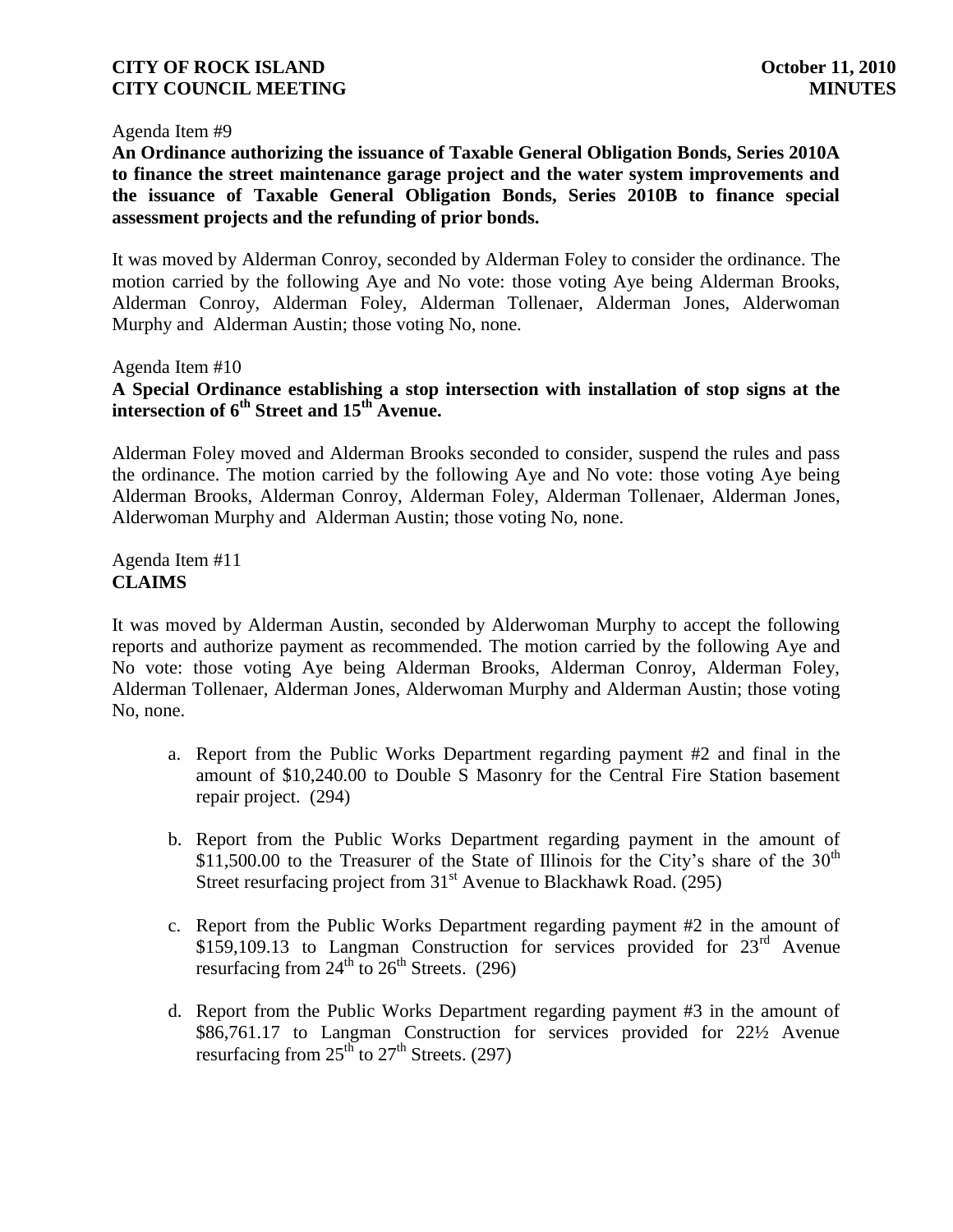#### Agenda Item #9

**An Ordinance authorizing the issuance of Taxable General Obligation Bonds, Series 2010A to finance the street maintenance garage project and the water system improvements and the issuance of Taxable General Obligation Bonds, Series 2010B to finance special assessment projects and the refunding of prior bonds.**

It was moved by Alderman Conroy, seconded by Alderman Foley to consider the ordinance. The motion carried by the following Aye and No vote: those voting Aye being Alderman Brooks, Alderman Conroy, Alderman Foley, Alderman Tollenaer, Alderman Jones, Alderwoman Murphy and Alderman Austin; those voting No, none.

Agenda Item #10

### **A Special Ordinance establishing a stop intersection with installation of stop signs at the intersection of 6th Street and 15th Avenue.**

Alderman Foley moved and Alderman Brooks seconded to consider, suspend the rules and pass the ordinance. The motion carried by the following Aye and No vote: those voting Aye being Alderman Brooks, Alderman Conroy, Alderman Foley, Alderman Tollenaer, Alderman Jones, Alderwoman Murphy and Alderman Austin; those voting No, none.

Agenda Item #11 **CLAIMS**

It was moved by Alderman Austin, seconded by Alderwoman Murphy to accept the following reports and authorize payment as recommended. The motion carried by the following Aye and No vote: those voting Aye being Alderman Brooks, Alderman Conroy, Alderman Foley, Alderman Tollenaer, Alderman Jones, Alderwoman Murphy and Alderman Austin; those voting No, none.

- a. Report from the Public Works Department regarding payment #2 and final in the amount of \$10,240.00 to Double S Masonry for the Central Fire Station basement repair project. (294)
- b. Report from the Public Works Department regarding payment in the amount of \$11,500.00 to the Treasurer of the State of Illinois for the City's share of the  $30<sup>th</sup>$ Street resurfacing project from  $31<sup>st</sup>$  Avenue to Blackhawk Road. (295)
- c. Report from the Public Works Department regarding payment #2 in the amount of \$159,109.13 to Langman Construction for services provided for  $23<sup>rd</sup>$  Avenue resurfacing from  $24<sup>th</sup>$  to  $26<sup>th</sup>$  Streets. (296)
- d. Report from the Public Works Department regarding payment #3 in the amount of \$86,761.17 to Langman Construction for services provided for 22½ Avenue resurfacing from  $25<sup>th</sup>$  to  $27<sup>th</sup>$  Streets. (297)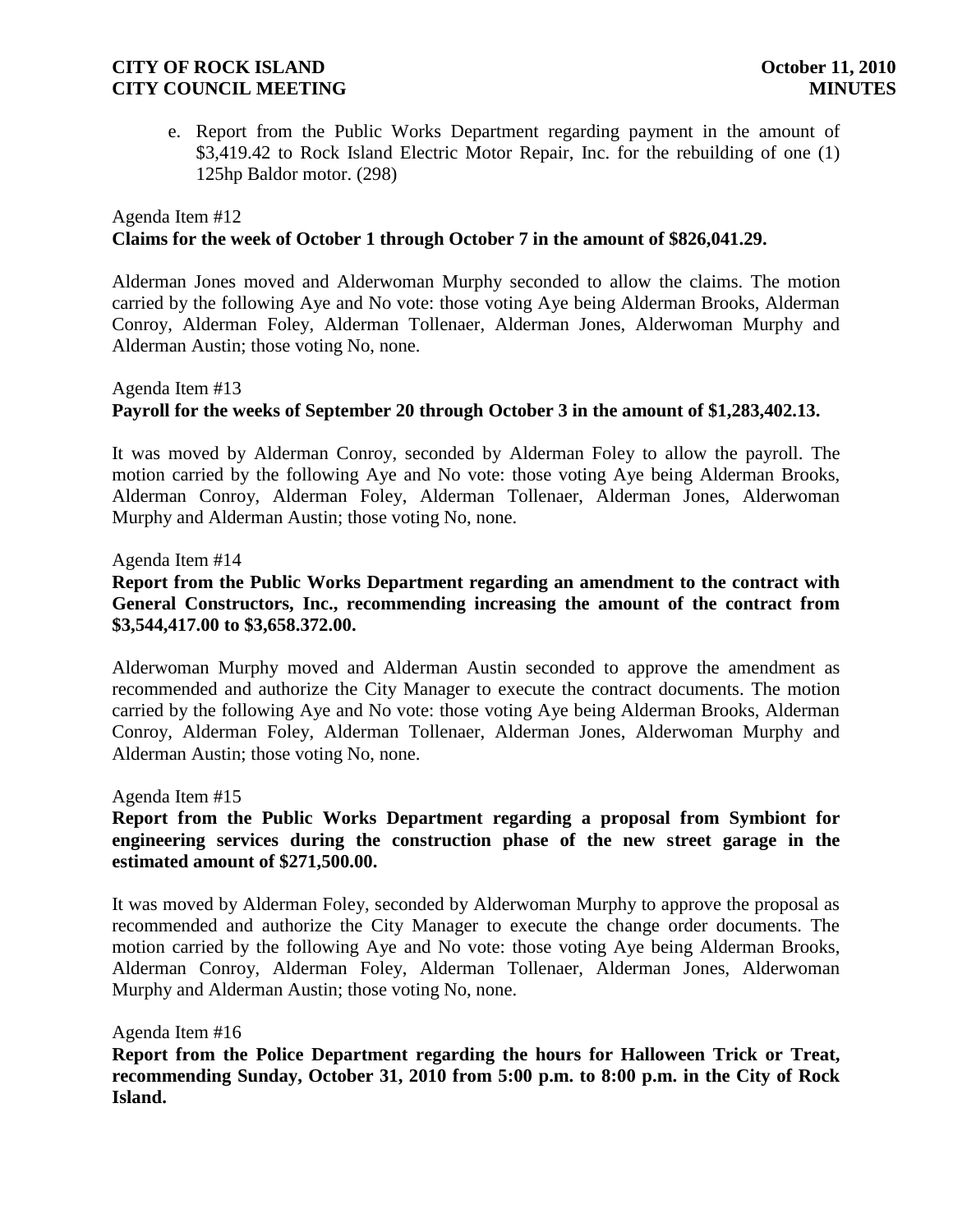e. Report from the Public Works Department regarding payment in the amount of \$3,419.42 to Rock Island Electric Motor Repair, Inc. for the rebuilding of one (1) 125hp Baldor motor. (298)

## Agenda Item #12 **Claims for the week of October 1 through October 7 in the amount of \$826,041.29.**

Alderman Jones moved and Alderwoman Murphy seconded to allow the claims. The motion carried by the following Aye and No vote: those voting Aye being Alderman Brooks, Alderman Conroy, Alderman Foley, Alderman Tollenaer, Alderman Jones, Alderwoman Murphy and Alderman Austin; those voting No, none.

# Agenda Item #13 **Payroll for the weeks of September 20 through October 3 in the amount of \$1,283,402.13.**

It was moved by Alderman Conroy, seconded by Alderman Foley to allow the payroll. The motion carried by the following Aye and No vote: those voting Aye being Alderman Brooks, Alderman Conroy, Alderman Foley, Alderman Tollenaer, Alderman Jones, Alderwoman Murphy and Alderman Austin; those voting No, none.

Agenda Item #14

### **Report from the Public Works Department regarding an amendment to the contract with General Constructors, Inc., recommending increasing the amount of the contract from \$3,544,417.00 to \$3,658.372.00.**

Alderwoman Murphy moved and Alderman Austin seconded to approve the amendment as recommended and authorize the City Manager to execute the contract documents. The motion carried by the following Aye and No vote: those voting Aye being Alderman Brooks, Alderman Conroy, Alderman Foley, Alderman Tollenaer, Alderman Jones, Alderwoman Murphy and Alderman Austin; those voting No, none.

Agenda Item #15

## **Report from the Public Works Department regarding a proposal from Symbiont for engineering services during the construction phase of the new street garage in the estimated amount of \$271,500.00.**

It was moved by Alderman Foley, seconded by Alderwoman Murphy to approve the proposal as recommended and authorize the City Manager to execute the change order documents. The motion carried by the following Aye and No vote: those voting Aye being Alderman Brooks, Alderman Conroy, Alderman Foley, Alderman Tollenaer, Alderman Jones, Alderwoman Murphy and Alderman Austin; those voting No, none.

Agenda Item #16

**Report from the Police Department regarding the hours for Halloween Trick or Treat, recommending Sunday, October 31, 2010 from 5:00 p.m. to 8:00 p.m. in the City of Rock Island.**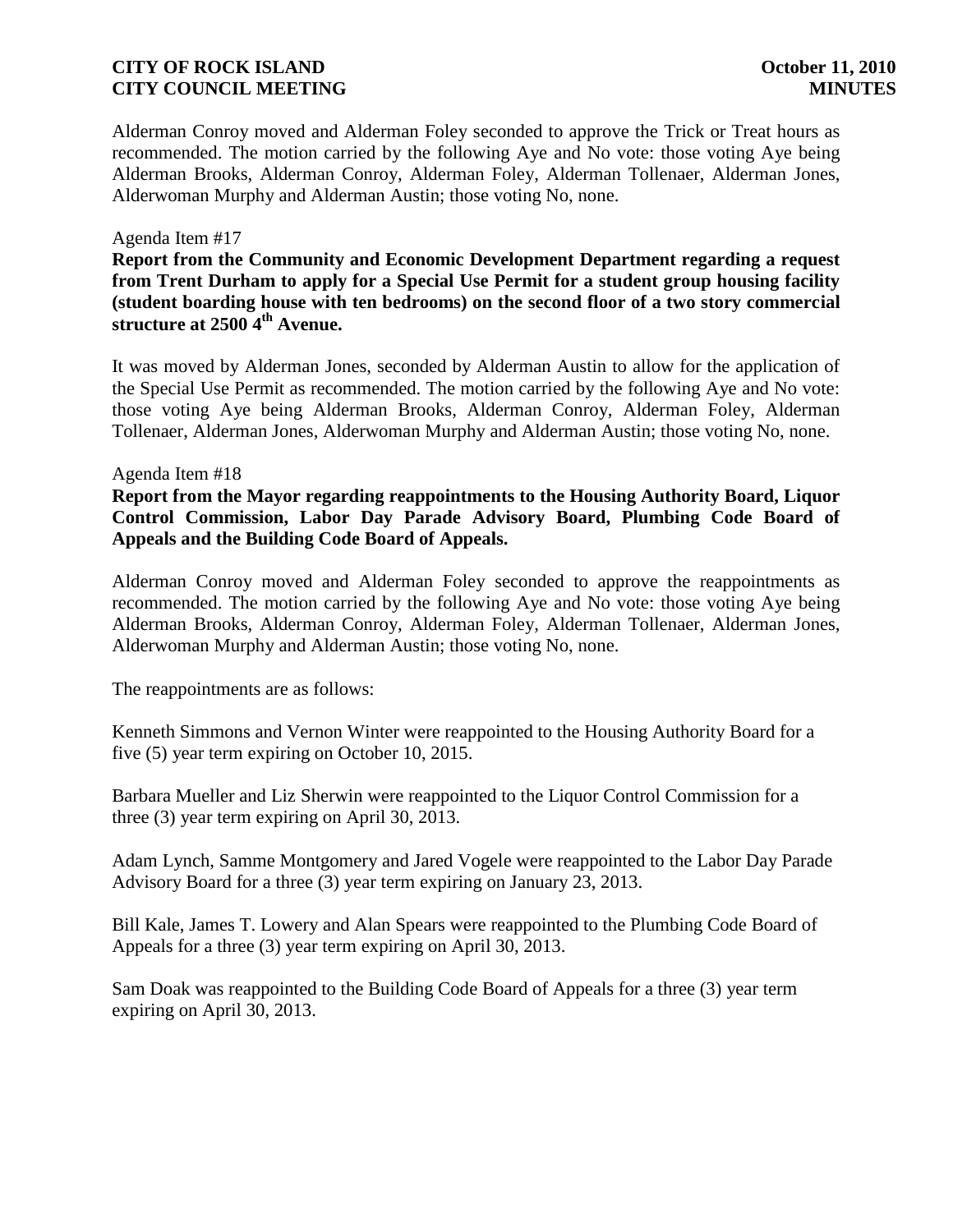Alderman Conroy moved and Alderman Foley seconded to approve the Trick or Treat hours as recommended. The motion carried by the following Aye and No vote: those voting Aye being Alderman Brooks, Alderman Conroy, Alderman Foley, Alderman Tollenaer, Alderman Jones, Alderwoman Murphy and Alderman Austin; those voting No, none.

#### Agenda Item #17

**Report from the Community and Economic Development Department regarding a request from Trent Durham to apply for a Special Use Permit for a student group housing facility (student boarding house with ten bedrooms) on the second floor of a two story commercial structure at 2500 4th Avenue.**

It was moved by Alderman Jones, seconded by Alderman Austin to allow for the application of the Special Use Permit as recommended. The motion carried by the following Aye and No vote: those voting Aye being Alderman Brooks, Alderman Conroy, Alderman Foley, Alderman Tollenaer, Alderman Jones, Alderwoman Murphy and Alderman Austin; those voting No, none.

#### Agenda Item #18

**Report from the Mayor regarding reappointments to the Housing Authority Board, Liquor Control Commission, Labor Day Parade Advisory Board, Plumbing Code Board of Appeals and the Building Code Board of Appeals.**

Alderman Conroy moved and Alderman Foley seconded to approve the reappointments as recommended. The motion carried by the following Aye and No vote: those voting Aye being Alderman Brooks, Alderman Conroy, Alderman Foley, Alderman Tollenaer, Alderman Jones, Alderwoman Murphy and Alderman Austin; those voting No, none.

The reappointments are as follows:

Kenneth Simmons and Vernon Winter were reappointed to the Housing Authority Board for a five (5) year term expiring on October 10, 2015.

Barbara Mueller and Liz Sherwin were reappointed to the Liquor Control Commission for a three (3) year term expiring on April 30, 2013.

Adam Lynch, Samme Montgomery and Jared Vogele were reappointed to the Labor Day Parade Advisory Board for a three (3) year term expiring on January 23, 2013.

Bill Kale, James T. Lowery and Alan Spears were reappointed to the Plumbing Code Board of Appeals for a three (3) year term expiring on April 30, 2013.

Sam Doak was reappointed to the Building Code Board of Appeals for a three (3) year term expiring on April 30, 2013.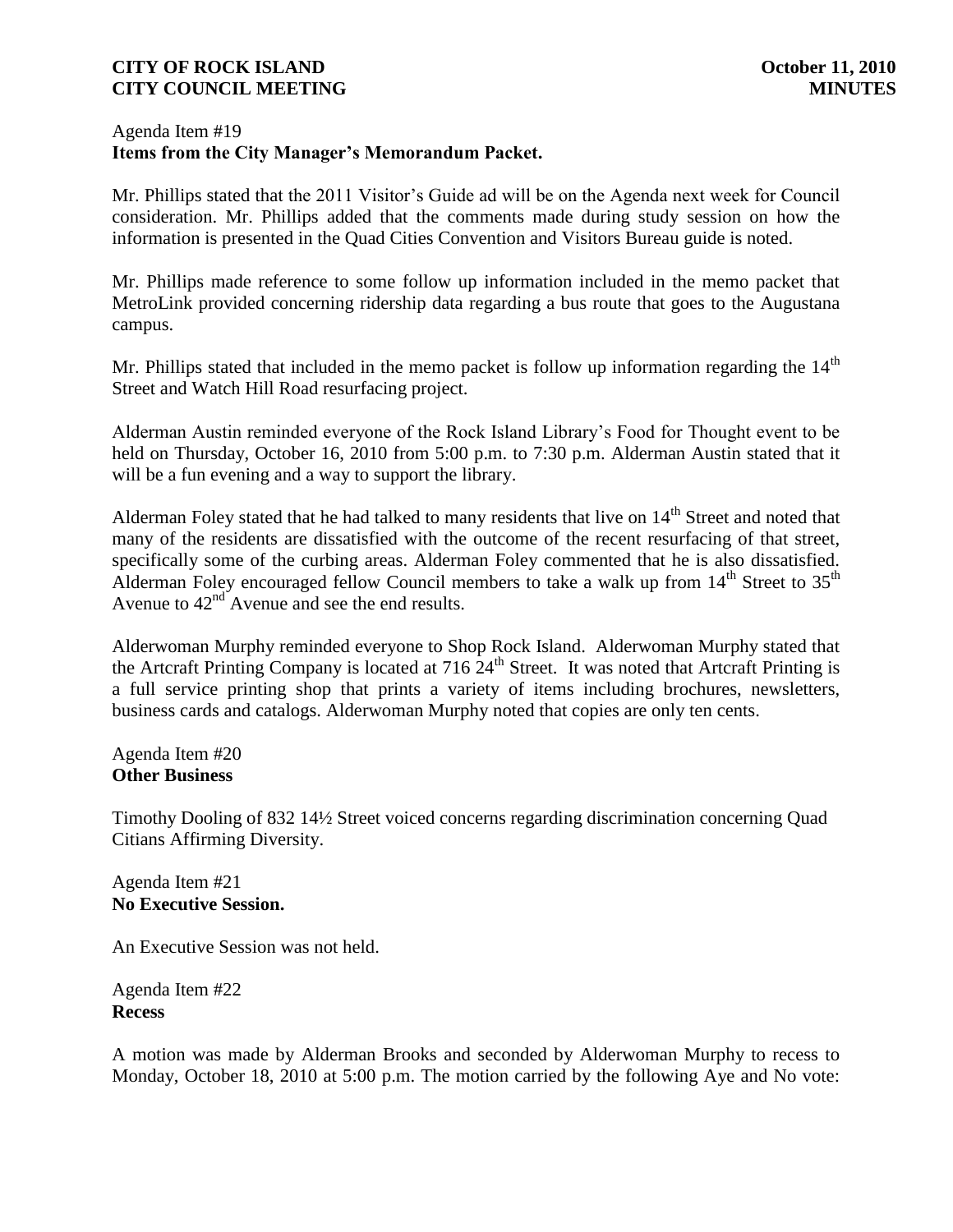### Agenda Item #19 **Items from the City Manager's Memorandum Packet.**

Mr. Phillips stated that the 2011 Visitor's Guide ad will be on the Agenda next week for Council consideration. Mr. Phillips added that the comments made during study session on how the information is presented in the Quad Cities Convention and Visitors Bureau guide is noted.

Mr. Phillips made reference to some follow up information included in the memo packet that MetroLink provided concerning ridership data regarding a bus route that goes to the Augustana campus.

Mr. Phillips stated that included in the memo packet is follow up information regarding the  $14<sup>th</sup>$ Street and Watch Hill Road resurfacing project.

Alderman Austin reminded everyone of the Rock Island Library's Food for Thought event to be held on Thursday, October 16, 2010 from 5:00 p.m. to 7:30 p.m. Alderman Austin stated that it will be a fun evening and a way to support the library.

Alderman Foley stated that he had talked to many residents that live on 14<sup>th</sup> Street and noted that many of the residents are dissatisfied with the outcome of the recent resurfacing of that street, specifically some of the curbing areas. Alderman Foley commented that he is also dissatisfied. Alderman Foley encouraged fellow Council members to take a walk up from  $14<sup>th</sup>$  Street to  $35<sup>th</sup>$ Avenue to  $42<sup>nd</sup>$  Avenue and see the end results.

Alderwoman Murphy reminded everyone to Shop Rock Island. Alderwoman Murphy stated that the Artcraft Printing Company is located at  $716\,24^{\text{th}}$  Street. It was noted that Artcraft Printing is a full service printing shop that prints a variety of items including brochures, newsletters, business cards and catalogs. Alderwoman Murphy noted that copies are only ten cents.

Agenda Item #20 **Other Business**

Timothy Dooling of 832 14½ Street voiced concerns regarding discrimination concerning Quad Citians Affirming Diversity.

Agenda Item #21 **No Executive Session.** 

An Executive Session was not held.

Agenda Item #22 **Recess**

A motion was made by Alderman Brooks and seconded by Alderwoman Murphy to recess to Monday, October 18, 2010 at 5:00 p.m. The motion carried by the following Aye and No vote: